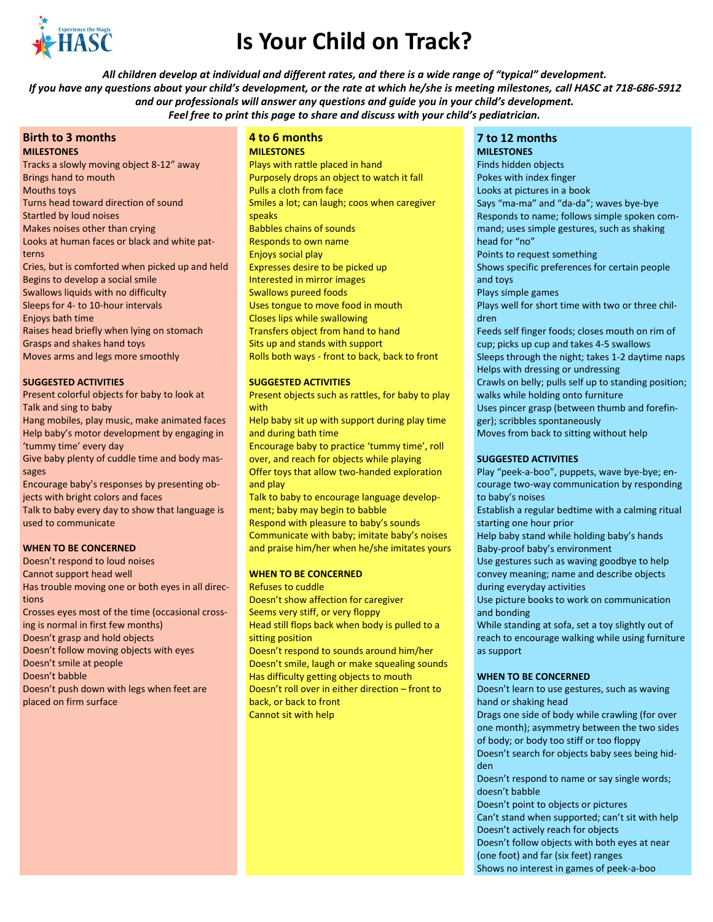

# **Is Your Child on Track?**

*All children develop at individual and different rates, and there is a wide range of "typical" development. If you have any questions about your child's development, or the rate at which he/she is meeting milestones,* **call HASC at 718-686-5912** *and our professionals will answer any questions and guide you in your child's development. Feel free to print this page to share and discuss with your child's pediatrician.*

#### **Birth to 3 months MILESTONES**

Tracks a slowly moving object 8-12" away Brings hand to mouth Mouths toys Turns head toward direction of sound Startled by loud noises Makes noises other than crying Looks at human faces or black and white patterns Cries, but is comforted when picked up and held Begins to develop a social smile Swallows liquids with no difficulty Sleeps for 4- to 10-hour intervals Enjoys bath time Raises head briefly when lying on stomach Grasps and shakes hand toys Moves arms and legs more smoothly

## **SUGGESTED ACTIVITIES**

Present colorful objects for baby to look at Talk and sing to baby

Hang mobiles, play music, make animated faces Help baby's motor development by engaging in 'tummy time' every day

Give baby plenty of cuddle time and body massages

Encourage baby's responses by presenting objects with bright colors and faces

Talk to baby every day to show that language is used to communicate

#### **WHEN TO BE CONCERNED**

Doesn't respond to loud noises Cannot support head well Has trouble moving one or both eyes in all directions Crosses eyes most of the time (occasional crossing is normal in first few months) Doesn't grasp and hold objects Doesn't follow moving objects with eyes Doesn't smile at people Doesn't babble

Doesn't push down with legs when feet are placed on firm surface

## **4 to 6 months MILESTONES**

Plays with rattle placed in hand Purposely drops an object to watch it fall Pulls a cloth from face Smiles a lot; can laugh; coos when caregiver speaks Babbles chains of sounds Responds to own name Enjoys social play Expresses desire to be picked up Interested in mirror images Swallows pureed foods Uses tongue to move food in mouth Closes lips while swallowing Transfers object from hand to hand Sits up and stands with support Rolls both ways - front to back, back to front

## **SUGGESTED ACTIVITIES**

Present objects such as rattles, for baby to play with

Help baby sit up with support during play time and during bath time

Encourage baby to practice 'tummy time', roll over, and reach for objects while playing Offer toys that allow two-handed exploration and play

Talk to baby to encourage language development; baby may begin to babble Respond with pleasure to baby's sounds

Communicate with baby; imitate baby's noises and praise him/her when he/she imitates yours

#### **WHEN TO BE CONCERNED**

Refuses to cuddle Doesn't show affection for caregiver Seems very stiff, or very floppy Head still flops back when body is pulled to a sitting position Doesn't respond to sounds around him/her Doesn't smile, laugh or make squealing sounds Has difficulty getting objects to mouth Doesn't roll over in either direction – front to back, or back to front Cannot sit with help

## **7 to 12 months**

**MILESTONES**  Finds hidden objects Pokes with index finger Looks at pictures in a book Says "ma-ma" and "da-da"; waves bye-bye Responds to name; follows simple spoken command; uses simple gestures, such as shaking head for "no" Points to request something Shows specific preferences for certain people and toys Plays simple games Plays well for short time with two or three children Feeds self finger foods; closes mouth on rim of cup; picks up cup and takes 4-5 swallows Sleeps through the night; takes 1-2 daytime naps Helps with dressing or undressing Crawls on belly; pulls self up to standing position; walks while holding onto furniture Uses pincer grasp (between thumb and forefinger); scribbles spontaneously Moves from back to sitting without help

## **SUGGESTED ACTIVITIES**

Play "peek-a-boo", puppets, wave bye-bye; encourage two-way communication by responding to baby's noises

Establish a regular bedtime with a calming ritual starting one hour prior

Help baby stand while holding baby's hands Baby-proof baby's environment

Use gestures such as waving goodbye to help convey meaning; name and describe objects during everyday activities

Use picture books to work on communication and bonding

While standing at sofa, set a toy slightly out of reach to encourage walking while using furniture as support

#### **WHEN TO BE CONCERNED**

Doesn't learn to use gestures, such as waving hand or shaking head

Drags one side of body while crawling (for over one month); asymmetry between the two sides of body; or body too stiff or too floppy

Doesn't search for objects baby sees being hidden

Doesn't respond to name or say single words; doesn't babble

Doesn't point to objects or pictures

Can't stand when supported; can't sit with help Doesn't actively reach for objects Doesn't follow objects with both eyes at near

(one foot) and far (six feet) ranges

Shows no interest in games of peek-a-boo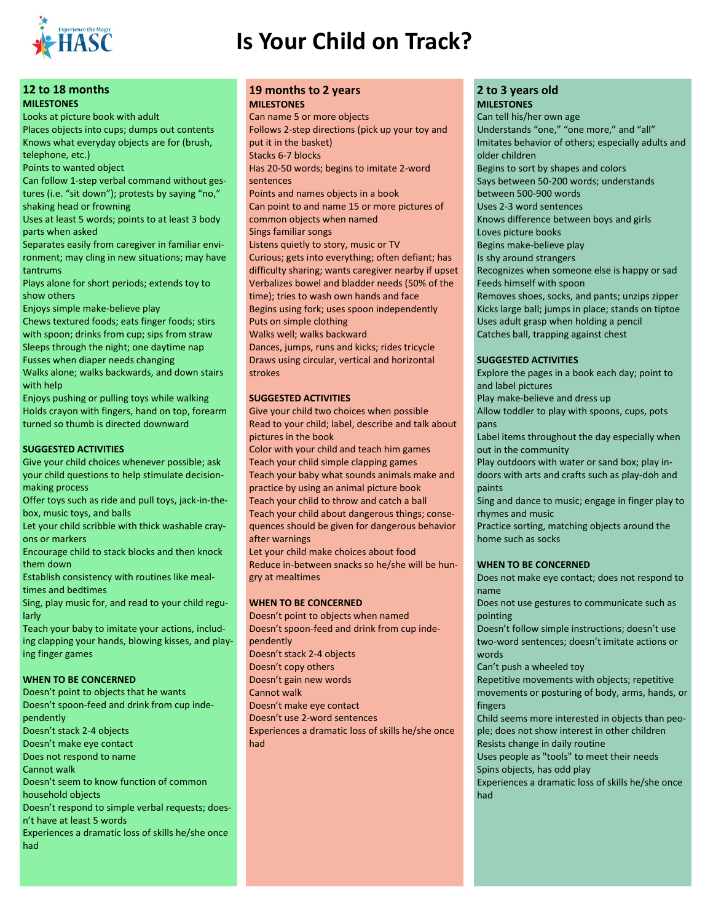

# **Is Your Child on Track?**

## **12 to 18 months MILESTONES**

Looks at picture book with adult Places objects into cups; dumps out contents Knows what everyday objects are for (brush, telephone, etc.)

Points to wanted object

Can follow 1-step verbal command without gestures (i.e. "sit down"); protests by saying "no," shaking head or frowning

Uses at least 5 words; points to at least 3 body parts when asked

Separates easily from caregiver in familiar environment; may cling in new situations; may have tantrums

Plays alone for short periods; extends toy to show others

Enjoys simple make-believe play

Chews textured foods; eats finger foods; stirs with spoon; drinks from cup; sips from straw Sleeps through the night; one daytime nap Fusses when diaper needs changing

Walks alone; walks backwards, and down stairs with help

Enjoys pushing or pulling toys while walking Holds crayon with fingers, hand on top, forearm turned so thumb is directed downward

## **SUGGESTED ACTIVITIES**

Give your child choices whenever possible; ask your child questions to help stimulate decisionmaking process

Offer toys such as ride and pull toys, jack-in-thebox, music toys, and balls

Let your child scribble with thick washable crayons or markers

Encourage child to stack blocks and then knock them down

Establish consistency with routines like mealtimes and bedtimes

Sing, play music for, and read to your child regularly

Teach your baby to imitate your actions, including clapping your hands, blowing kisses, and playing finger games

## **WHEN TO BE CONCERNED**

Doesn't point to objects that he wants Doesn't spoon-feed and drink from cup independently Doesn't stack 2-4 objects Doesn't make eye contact Does not respond to name Cannot walk Doesn't seem to know function of common household objects Doesn't respond to simple verbal requests; doesn't have at least 5 words Experiences a dramatic loss of skills he/she once had

## **19 months to 2 years MILESTONES**

Can name 5 or more objects Follows 2-step directions (pick up your toy and put it in the basket) Stacks 6-7 blocks Has 20-50 words; begins to imitate 2-word sentences Points and names objects in a book Can point to and name 15 or more pictures of common objects when named Sings familiar songs Listens quietly to story, music or TV Curious; gets into everything; often defiant; has difficulty sharing; wants caregiver nearby if upset Verbalizes bowel and bladder needs (50% of the time); tries to wash own hands and face Begins using fork; uses spoon independently Puts on simple clothing Walks well; walks backward Dances, jumps, runs and kicks; rides tricycle

Draws using circular, vertical and horizontal strokes

## **SUGGESTED ACTIVITIES**

Give your child two choices when possible Read to your child; label, describe and talk about pictures in the book

Color with your child and teach him games Teach your child simple clapping games Teach your baby what sounds animals make and practice by using an animal picture book Teach your child to throw and catch a ball Teach your child about dangerous things; consequences should be given for dangerous behavior after warnings

Let your child make choices about food Reduce in-between snacks so he/she will be hungry at mealtimes

## **WHEN TO BE CONCERNED**

Doesn't point to objects when named Doesn't spoon-feed and drink from cup independently Doesn't stack 2-4 objects Doesn't copy others Doesn't gain new words Cannot walk Doesn't make eye contact Doesn't use 2-word sentences Experiences a dramatic loss of skills he/she once had

## **2 to 3 years old MILESTONES**

Can tell his/her own age Understands "one," "one more," and "all" Imitates behavior of others; especially adults and older children Begins to sort by shapes and colors Says between 50-200 words; understands between 500-900 words Uses 2-3 word sentences Knows difference between boys and girls Loves picture books Begins make-believe play Is shy around strangers Recognizes when someone else is happy or sad Feeds himself with spoon Removes shoes, socks, and pants; unzips zipper Kicks large ball; jumps in place; stands on tiptoe Uses adult grasp when holding a pencil Catches ball, trapping against chest

## **SUGGESTED ACTIVITIES**

Explore the pages in a book each day; point to and label pictures Play make-believe and dress up Allow toddler to play with spoons, cups, pots pans Label items throughout the day especially when out in the community Play outdoors with water or sand box; play in-

doors with arts and crafts such as play-doh and paints

Sing and dance to music; engage in finger play to rhymes and music

Practice sorting, matching objects around the home such as socks

## **WHEN TO BE CONCERNED**

Does not make eye contact; does not respond to name

Does not use gestures to communicate such as pointing

Doesn't follow simple instructions; doesn't use two-word sentences; doesn't imitate actions or words

Can't push a wheeled toy

Repetitive movements with objects; repetitive movements or posturing of body, arms, hands, or fingers

Child seems more interested in objects than people; does not show interest in other children Resists change in daily routine

Uses people as "tools" to meet their needs Spins objects, has odd play

Experiences a dramatic loss of skills he/she once had